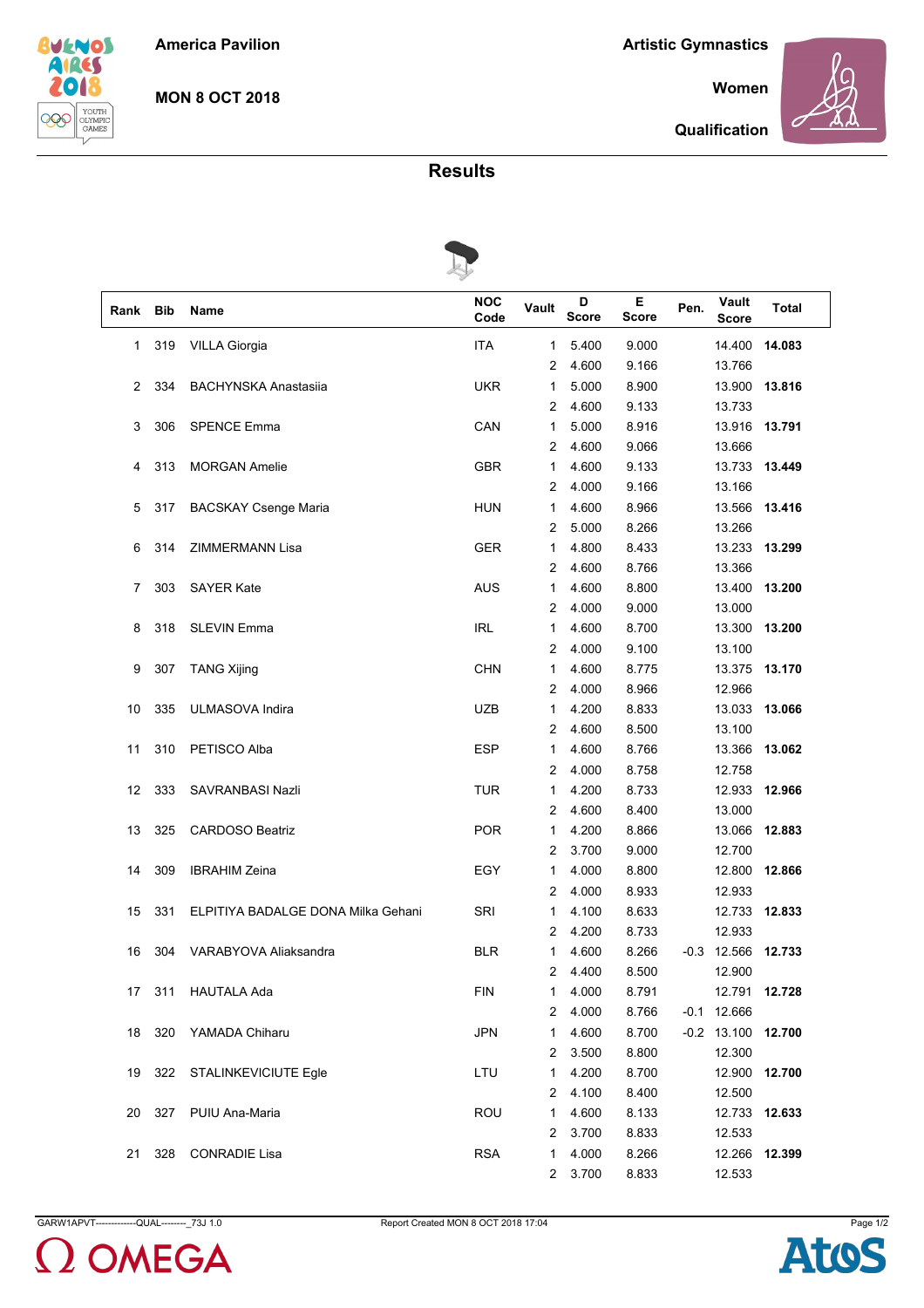**America Pavilion**

**Artistic Gymnastics**

**Women**



 $\sqrt{2}$ 

**MON 8 OCT 2018**

**Qualification**

**Results**



| Rank | <b>Bib</b> | Name                               | <b>NOC</b><br>Code | Vault          | D<br><b>Score</b> | Е<br>Score | Pen. | Vault<br><b>Score</b> | Total         |  |  |
|------|------------|------------------------------------|--------------------|----------------|-------------------|------------|------|-----------------------|---------------|--|--|
| 1    | 319        | <b>VILLA Giorgia</b>               | <b>ITA</b>         | 1              | 5.400             | 9.000      |      | 14.400                | 14.083        |  |  |
|      |            |                                    |                    | 2              | 4.600             | 9.166      |      | 13.766                |               |  |  |
| 2    | 334        | <b>BACHYNSKA Anastasiia</b>        | <b>UKR</b>         | 1              | 5.000             | 8.900      |      | 13.900                | 13.816        |  |  |
|      |            |                                    |                    | 2              | 4.600             | 9.133      |      | 13.733                |               |  |  |
| 3    | 306        | <b>SPENCE Emma</b>                 | CAN                | 1              | 5.000             | 8.916      |      | 13.916                | 13.791        |  |  |
|      |            |                                    |                    | 2              | 4.600             | 9.066      |      | 13.666                |               |  |  |
| 4    | 313        | <b>MORGAN Amelie</b>               | <b>GBR</b>         | 1              | 4.600             | 9.133      |      | 13.733                | 13.449        |  |  |
|      |            |                                    |                    | 2              | 4.000             | 9.166      |      | 13.166                |               |  |  |
| 5    | 317        | <b>BACSKAY Csenge Maria</b>        | <b>HUN</b>         | 1              | 4.600             | 8.966      |      | 13.566                | 13.416        |  |  |
|      |            |                                    |                    | 2              | 5.000             | 8.266      |      | 13.266                |               |  |  |
| 6    | 314        | <b>ZIMMERMANN Lisa</b>             | <b>GER</b>         | 1              | 4.800             | 8.433      |      | 13.233                | 13.299        |  |  |
|      |            |                                    |                    | 2              | 4.600             | 8.766      |      | 13.366                |               |  |  |
| 7    | 303        | <b>SAYER Kate</b>                  | <b>AUS</b>         | 1              | 4.600             | 8.800      |      | 13.400                | 13.200        |  |  |
|      |            |                                    |                    | 2              | 4.000             | 9.000      |      | 13.000                |               |  |  |
| 8    | 318        | <b>SLEVIN Emma</b>                 | <b>IRL</b>         | 1              | 4.600             | 8.700      |      | 13.300                | 13.200        |  |  |
|      |            |                                    |                    | 2              | 4.000             | 9.100      |      | 13.100                |               |  |  |
| 9    | 307        | <b>TANG Xijing</b>                 | <b>CHN</b>         | 1              | 4.600             | 8.775      |      | 13.375                | 13.170        |  |  |
|      |            |                                    |                    | 2              | 4.000             | 8.966      |      | 12.966                |               |  |  |
| 10   | 335        | ULMASOVA Indira                    | <b>UZB</b>         | 1              | 4.200             | 8.833      |      | 13.033                | 13.066        |  |  |
|      |            |                                    |                    | 2              | 4.600             | 8.500      |      | 13.100                |               |  |  |
| 11   | 310        | PETISCO Alba                       | <b>ESP</b>         | 1              | 4.600             | 8.766      |      | 13.366                | 13.062        |  |  |
|      |            |                                    |                    | 2              | 4.000             | 8.758      |      | 12.758                |               |  |  |
| 12   | 333        | SAVRANBASI Nazli                   | <b>TUR</b>         | 1              | 4.200             | 8.733      |      | 12.933                | 12.966        |  |  |
|      |            |                                    |                    | 2              | 4.600             | 8.400      |      | 13.000                |               |  |  |
| 13   | 325        | <b>CARDOSO Beatriz</b>             | <b>POR</b>         | 1              | 4.200             | 8.866      |      | 13.066                | 12.883        |  |  |
|      |            |                                    |                    | 2              | 3.700             | 9.000      |      | 12.700                |               |  |  |
| 14   | 309        | <b>IBRAHIM Zeina</b>               | EGY                | 1              | 4.000             | 8.800      |      | 12.800                | 12.866        |  |  |
|      |            |                                    |                    | 2              | 4.000             | 8.933      |      | 12.933                |               |  |  |
| 15   | 331        | ELPITIYA BADALGE DONA Milka Gehani | SRI                | 1              | 4.100             | 8.633      |      | 12.733 12.833         |               |  |  |
|      |            |                                    |                    | 2              | 4.200             | 8.733      |      | 12.933                |               |  |  |
| 16   | 304        | VARABYOVA Aliaksandra              | <b>BLR</b>         | 1              | 4.600             | 8.266      |      | $-0.3$ 12.566         | 12.733        |  |  |
|      |            |                                    |                    | 2              | 4.400             | 8.500      |      | 12.900                |               |  |  |
| 17   | 311        | <b>HAUTALA Ada</b>                 | <b>FIN</b>         | 1              | 4.000             | 8.791      |      | 12.791 12.728         |               |  |  |
|      |            |                                    |                    | 2              | 4.000             | 8.766      |      | $-0.1$ 12.666         |               |  |  |
| 18   | 320        | YAMADA Chiharu                     | <b>JPN</b>         | $\mathbf{1}$   | 4.600             | 8.700      |      | $-0.2$ 13.100 12.700  |               |  |  |
|      |            |                                    |                    | 2              | 3.500             | 8.800      |      | 12.300                |               |  |  |
| 19   | 322        | STALINKEVICIUTE Egle               | LTU                | 1              | 4.200             | 8.700      |      | 12.900 12.700         |               |  |  |
|      |            |                                    |                    | 2              | 4.100             | 8.400      |      | 12.500                |               |  |  |
| 20   | 327        | PUIU Ana-Maria                     | <b>ROU</b>         | 1              | 4.600             | 8.133      |      |                       | 12.733 12.633 |  |  |
|      |            |                                    |                    | 2              | 3.700             | 8.833      |      | 12.533                |               |  |  |
| 21   | 328        | <b>CONRADIE Lisa</b>               | <b>RSA</b>         | 1              | 4.000             | 8.266      |      |                       | 12.266 12.399 |  |  |
|      |            |                                    |                    | $\overline{a}$ | 3.700             | 8.833      |      | 12.533                |               |  |  |



GARW1APVT-------------QUAL---------\_73J 1.0 Report Created MON 8 OCT 2018 17:04 Page 1/2